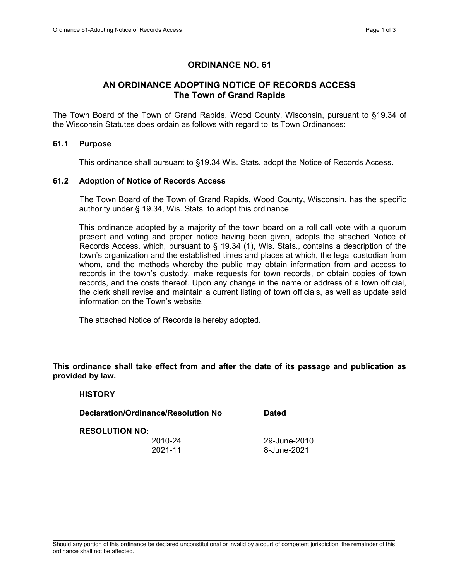# ORDINANCE NO. 61

# AN ORDINANCE ADOPTING NOTICE OF RECORDS ACCESS The Town of Grand Rapids

The Town Board of the Town of Grand Rapids, Wood County, Wisconsin, pursuant to §19.34 of the Wisconsin Statutes does ordain as follows with regard to its Town Ordinances:

## 61.1 Purpose

This ordinance shall pursuant to §19.34 Wis. Stats. adopt the Notice of Records Access.

#### 61.2 Adoption of Notice of Records Access

 The Town Board of the Town of Grand Rapids, Wood County, Wisconsin, has the specific authority under § 19.34, Wis. Stats. to adopt this ordinance.

 This ordinance adopted by a majority of the town board on a roll call vote with a quorum present and voting and proper notice having been given, adopts the attached Notice of Records Access, which, pursuant to § 19.34 (1), Wis. Stats., contains a description of the town's organization and the established times and places at which, the legal custodian from whom, and the methods whereby the public may obtain information from and access to records in the town's custody, make requests for town records, or obtain copies of town records, and the costs thereof. Upon any change in the name or address of a town official, the clerk shall revise and maintain a current listing of town officials, as well as update said information on the Town's website.

The attached Notice of Records is hereby adopted.

This ordinance shall take effect from and after the date of its passage and publication as provided by law.

## **HISTORY**

Declaration/Ordinance/Resolution No Dated

#### RESOLUTION NO:

2010-24 29-June-2010 2021-11 8-June-2021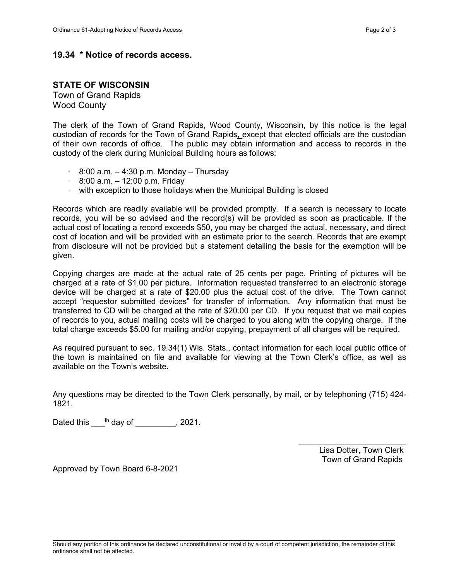## 19.34 \* Notice of records access.

## STATE OF WISCONSIN

Town of Grand Rapids Wood County

The clerk of the Town of Grand Rapids, Wood County, Wisconsin, by this notice is the legal custodian of records for the Town of Grand Rapids, except that elected officials are the custodian of their own records of office. The public may obtain information and access to records in the custody of the clerk during Municipal Building hours as follows:

- $\cdot$  8:00 a.m.  $-$  4:30 p.m. Monday Thursday
- $\cdot$  8:00 a.m.  $-$  12:00 p.m. Friday
- · with exception to those holidays when the Municipal Building is closed

Records which are readily available will be provided promptly. If a search is necessary to locate records, you will be so advised and the record(s) will be provided as soon as practicable. If the actual cost of locating a record exceeds \$50, you may be charged the actual, necessary, and direct cost of location and will be provided with an estimate prior to the search. Records that are exempt from disclosure will not be provided but a statement detailing the basis for the exemption will be given.

Copying charges are made at the actual rate of 25 cents per page. Printing of pictures will be charged at a rate of \$1.00 per picture. Information requested transferred to an electronic storage device will be charged at a rate of \$20.00 plus the actual cost of the drive. The Town cannot accept "requestor submitted devices" for transfer of information. Any information that must be transferred to CD will be charged at the rate of \$20.00 per CD. If you request that we mail copies of records to you, actual mailing costs will be charged to you along with the copying charge. If the total charge exceeds \$5.00 for mailing and/or copying, prepayment of all charges will be required.

As required pursuant to sec. 19.34(1) Wis. Stats., contact information for each local public office of the town is maintained on file and available for viewing at the Town Clerk's office, as well as available on the Town's website.

Any questions may be directed to the Town Clerk personally, by mail, or by telephoning (715) 424- 1821.

Dated this  $\frac{th}{d}$  day of  $\frac{1}{2021}$ .

 Lisa Dotter, Town Clerk Town of Grand Rapids

 $\overline{\phantom{a}}$  , where  $\overline{\phantom{a}}$  , where  $\overline{\phantom{a}}$ 

Approved by Town Board 6-8-2021